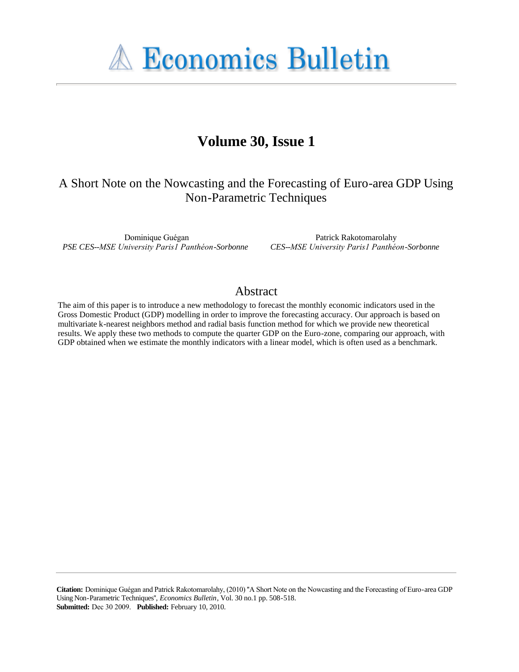**A Economics Bulletin** 

# **Volume 30, Issue 1**

# A Short Note on the Nowcasting and the Forecasting of Euro-area GDP Using Non-Parametric Techniques

Dominique Guégan *PSE CES--MSE University Paris1 Panthéon-Sorbonne*

Patrick Rakotomarolahy *CES--MSE University Paris1 Panthéon-Sorbonne*

## Abstract

The aim of this paper is to introduce a new methodology to forecast the monthly economic indicators used in the Gross Domestic Product (GDP) modelling in order to improve the forecasting accuracy. Our approach is based on multivariate k-nearest neighbors method and radial basis function method for which we provide new theoretical results. We apply these two methods to compute the quarter GDP on the Euro-zone, comparing our approach, with GDP obtained when we estimate the monthly indicators with a linear model, which is often used as a benchmark.

**Citation:** Dominique Guégan and Patrick Rakotomarolahy, (2010) ''A Short Note on the Nowcasting and the Forecasting of Euro-area GDP Using Non-Parametric Techniques'', *Economics Bulletin*, Vol. 30 no.1 pp. 508-518. **Submitted:** Dec 30 2009. **Published:** February 10, 2010.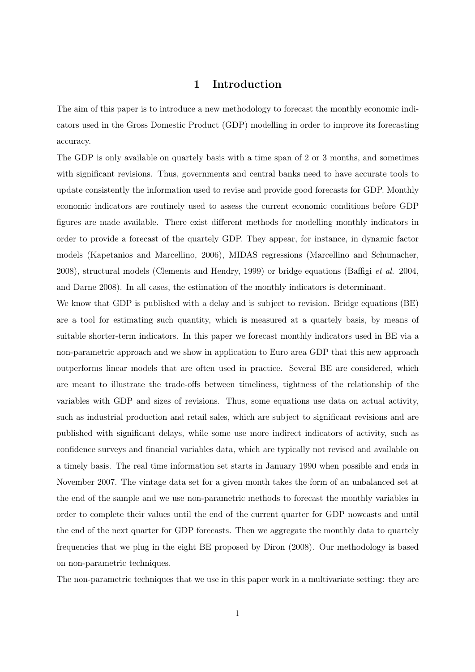#### 1 Introduction

The aim of this paper is to introduce a new methodology to forecast the monthly economic indicators used in the Gross Domestic Product (GDP) modelling in order to improve its forecasting accuracy.

The GDP is only available on quartely basis with a time span of 2 or 3 months, and sometimes with significant revisions. Thus, governments and central banks need to have accurate tools to update consistently the information used to revise and provide good forecasts for GDP. Monthly economic indicators are routinely used to assess the current economic conditions before GDP figures are made available. There exist different methods for modelling monthly indicators in order to provide a forecast of the quartely GDP. They appear, for instance, in dynamic factor models (Kapetanios and Marcellino, 2006), MIDAS regressions (Marcellino and Schumacher, 2008), structural models (Clements and Hendry, 1999) or bridge equations (Baffigi et al. 2004, and Darne 2008). In all cases, the estimation of the monthly indicators is determinant.

We know that GDP is published with a delay and is subject to revision. Bridge equations (BE) are a tool for estimating such quantity, which is measured at a quartely basis, by means of suitable shorter-term indicators. In this paper we forecast monthly indicators used in BE via a non-parametric approach and we show in application to Euro area GDP that this new approach outperforms linear models that are often used in practice. Several BE are considered, which are meant to illustrate the trade-offs between timeliness, tightness of the relationship of the variables with GDP and sizes of revisions. Thus, some equations use data on actual activity, such as industrial production and retail sales, which are subject to significant revisions and are published with significant delays, while some use more indirect indicators of activity, such as confidence surveys and financial variables data, which are typically not revised and available on a timely basis. The real time information set starts in January 1990 when possible and ends in November 2007. The vintage data set for a given month takes the form of an unbalanced set at the end of the sample and we use non-parametric methods to forecast the monthly variables in order to complete their values until the end of the current quarter for GDP nowcasts and until the end of the next quarter for GDP forecasts. Then we aggregate the monthly data to quartely frequencies that we plug in the eight BE proposed by Diron (2008). Our methodology is based on non-parametric techniques.

The non-parametric techniques that we use in this paper work in a multivariate setting: they are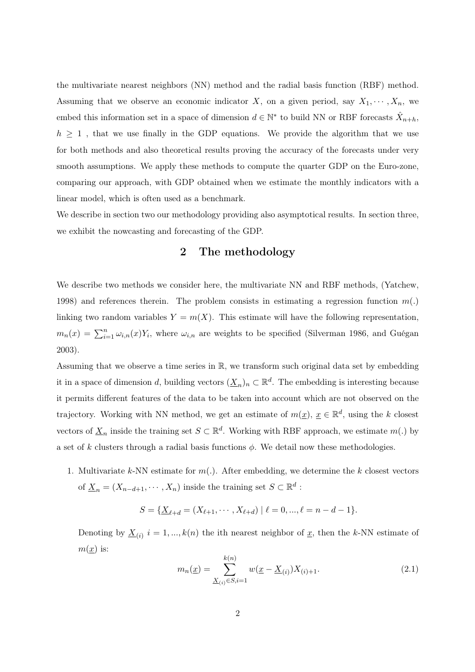the multivariate nearest neighbors (NN) method and the radial basis function (RBF) method. Assuming that we observe an economic indicator X, on a given period, say  $X_1, \dots, X_n$ , we embed this information set in a space of dimension  $d \in \mathbb{N}^*$  to build NN or RBF forecasts  $\hat{X}_{n+h}$ ,  $h \geq 1$ , that we use finally in the GDP equations. We provide the algorithm that we use for both methods and also theoretical results proving the accuracy of the forecasts under very smooth assumptions. We apply these methods to compute the quarter GDP on the Euro-zone, comparing our approach, with GDP obtained when we estimate the monthly indicators with a linear model, which is often used as a benchmark.

We describe in section two our methodology providing also asymptotical results. In section three, we exhibit the nowcasting and forecasting of the GDP.

#### 2 The methodology

We describe two methods we consider here, the multivariate NN and RBF methods, (Yatchew, 1998) and references therein. The problem consists in estimating a regression function  $m(.)$ linking two random variables  $Y = m(X)$ . This estimate will have the following representation,  $m_n(x) = \sum_{i=1}^n \omega_{i,n}(x) Y_i$ , where  $\omega_{i,n}$  are weights to be specified (Silverman 1986, and Guégan 2003).

Assuming that we observe a time series in R, we transform such original data set by embedding it in a space of dimension d, building vectors  $(\underline{X}_n)_n \subset \mathbb{R}^d$ . The embedding is interesting because it permits different features of the data to be taken into account which are not observed on the trajectory. Working with NN method, we get an estimate of  $m(\underline{x})$ ,  $\underline{x} \in \mathbb{R}^d$ , using the k closest vectors of  $\underline{X}_n$  inside the training set  $S \subset \mathbb{R}^d$ . Working with RBF approach, we estimate  $m(.)$  by a set of k clusters through a radial basis functions  $\phi$ . We detail now these methodologies.

1. Multivariate k-NN estimate for  $m(.)$ . After embedding, we determine the k closest vectors of  $\underline{X}_n = (X_{n-d+1}, \cdots, X_n)$  inside the training set  $S \subset \mathbb{R}^d$ :

$$
S = \{ \underline{X}_{\ell+d} = (X_{\ell+1}, \cdots, X_{\ell+d}) \mid \ell = 0, ..., \ell = n - d - 1 \}.
$$

Denoting by  $\underline{X}_{(i)}$   $i = 1, ..., k(n)$  the ith nearest neighbor of  $\underline{x}$ , then the k-NN estimate of  $m(x)$  is:

$$
m_n(\underline{x}) = \sum_{\underline{X}_{(i)} \in S, i=1}^{k(n)} w(\underline{x} - \underline{X}_{(i)}) X_{(i)+1}.
$$
\n(2.1)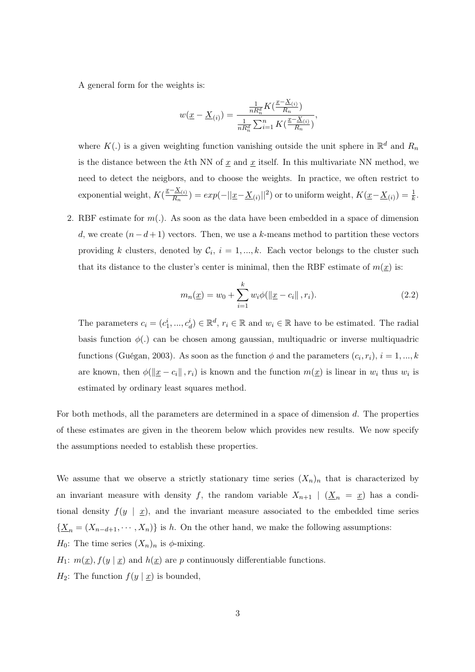A general form for the weights is:

$$
w(\underline{x} - \underline{X}_{(i)}) = \frac{\frac{1}{nR_n^d} K(\frac{\underline{x} - \underline{X}_{(i)}}{R_n})}{\frac{1}{nR_n^d} \sum_{i=1}^n K(\frac{\underline{x} - \underline{X}_{(i)}}{R_n})},
$$

where  $K(.)$  is a given weighting function vanishing outside the unit sphere in  $\mathbb{R}^d$  and  $R_n$ is the distance between the kth NN of  $x$  and  $x$  itself. In this multivariate NN method, we need to detect the neigbors, and to choose the weights. In practice, we often restrict to exponential weight,  $K(\frac{x-X_{(i)}}{R_i})$  $\frac{d^2\Delta(z)}{dx^2}$ ) =  $exp(-||\underline{x}-\underline{X}_{(i)}||^2)$  or to uniform weight,  $K(\underline{x}-\underline{X}_{(i)})=\frac{1}{k}$ .

2. RBF estimate for  $m(.)$ . As soon as the data have been embedded in a space of dimension d, we create  $(n-d+1)$  vectors. Then, we use a k-means method to partition these vectors providing k clusters, denoted by  $\mathcal{C}_i$ ,  $i = 1, ..., k$ . Each vector belongs to the cluster such that its distance to the cluster's center is minimal, then the RBF estimate of  $m(x)$  is:

$$
m_n(\underline{x}) = w_0 + \sum_{i=1}^k w_i \phi(\|\underline{x} - c_i\|, r_i).
$$
 (2.2)

The parameters  $c_i = (c_1^i, ..., c_d^i) \in \mathbb{R}^d$ ,  $r_i \in \mathbb{R}$  and  $w_i \in \mathbb{R}$  have to be estimated. The radial basis function  $\phi(.)$  can be chosen among gaussian, multiquadric or inverse multiquadric functions (Guégan, 2003). As soon as the function  $\phi$  and the parameters  $(c_i, r_i)$ ,  $i = 1, ..., k$ are known, then  $\phi(\Vert \underline{x} - c_i \Vert, r_i)$  is known and the function  $m(\underline{x})$  is linear in  $w_i$  thus  $w_i$  is estimated by ordinary least squares method.

For both methods, all the parameters are determined in a space of dimension d. The properties of these estimates are given in the theorem below which provides new results. We now specify the assumptions needed to establish these properties.

We assume that we observe a strictly stationary time series  $(X_n)_n$  that is characterized by an invariant measure with density f, the random variable  $X_{n+1}$   $\mid$   $(X_n = x)$  has a conditional density  $f(y \mid \underline{x})$ , and the invariant measure associated to the embedded time series  ${\underline{X_n} = (X_{n-d+1}, \cdots, X_n)}$  is h. On the other hand, we make the following assumptions:  $H_0$ : The time series  $(X_n)_n$  is  $\phi$ -mixing.

 $H_1: m(\underline{x}), f(\underline{y} | \underline{x})$  and  $h(\underline{x})$  are p continuously differentiable functions.

 $H_2$ : The function  $f(y | \underline{x})$  is bounded,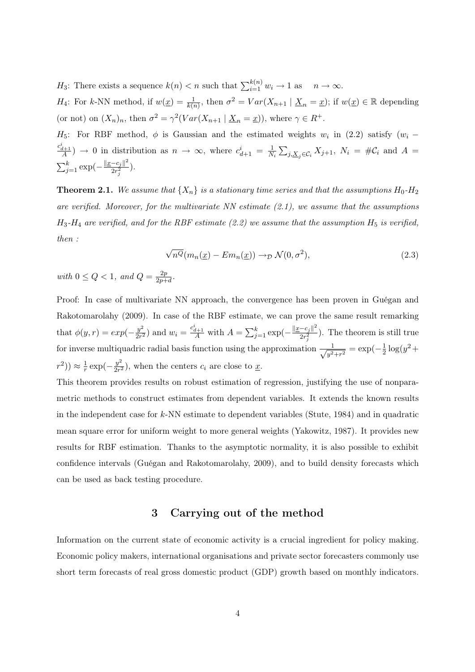$H_3$ : There exists a sequence  $k(n) < n$  such that  $\sum_{i=1}^{k(n)} w_i \to 1$  as  $n \to \infty$ .

 $H_4$ : For k-NN method, if  $w(\underline{x}) = \frac{1}{k(n)}$ , then  $\sigma^2 = Var(X_{n+1} | \underline{X}_n = \underline{x})$ ; if  $w(\underline{x}) \in \mathbb{R}$  depending (or not) on  $(X_n)_n$ , then  $\sigma^2 = \gamma^2 (Var(X_{n+1} | \underline{X}_n = \underline{x}))$ , where  $\gamma \in R^+$ .

 $H_5$ : For RBF method,  $\phi$  is Gaussian and the estimated weights  $w_i$  in (2.2) satisfy  $(w_i \frac{c_{d+1}^i}{A}$   $\rightarrow$  0 in distribution as  $n \rightarrow \infty$ , where  $c_{d+1}^i = \frac{1}{N}$  $\frac{1}{N_i}\sum_{j,\underline{X}_j\in\mathcal{C}_i}X_{j+1},\ N_i\,=\,\#\mathcal{C}_i\,$  and  $\,A\,=\,$  $\sum_{j=1}^{k} \exp(-\frac{\|x-c_j\|^2}{2r^2})$  $\frac{-c_j \parallel}{2r_j^2}$ ).

**Theorem 2.1.** We assume that  $\{X_n\}$  is a stationary time series and that the assumptions  $H_0$ - $H_2$ are verified. Moreover, for the multivariate  $NN$  estimate  $(2.1)$ , we assume that the assumptions  $H_3$ - $H_4$  are verified, and for the RBF estimate (2.2) we assume that the assumption  $H_5$  is verified, then :

$$
\sqrt{n^{Q}}(m_{n}(\underline{x}) - Em_{n}(\underline{x})) \to_{\mathcal{D}} \mathcal{N}(0, \sigma^{2}),
$$
\n(2.3)

with  $0 \leq Q < 1$ , and  $Q = \frac{2p}{2p+1}$  $\frac{2p}{2p+d}$ .

Proof: In case of multivariate NN approach, the convergence has been proven in Guégan and Rakotomarolahy (2009). In case of the RBF estimate, we can prove the same result remarking that  $\phi(y,r) = exp(-\frac{y^2}{2r^2})$  $\frac{y^2}{2r^2}$ ) and  $w_i = \frac{c_{d+1}^i}{A}$  with  $A = \sum_{j=1}^k \exp(-\frac{||x-c_j||^2}{2r_i^2})$  $\frac{-c_j \parallel}{2r_j^2}$ ). The theorem is still true for inverse multiquadric radial basis function using the approximation  $\frac{1}{\sqrt{2}}$  $\frac{1}{y^2+r^2} = \exp(-\frac{1}{2})$  $rac{1}{2} \log(y^2 +$  $(r^2)$ )  $\approx \frac{1}{r}$  $rac{1}{r}\exp(-\frac{y^2}{2r^2})$  $\frac{y}{2r^2}$ , when the centers  $c_i$  are close to  $\underline{x}$ .

This theorem provides results on robust estimation of regression, justifying the use of nonparametric methods to construct estimates from dependent variables. It extends the known results in the independent case for k-NN estimate to dependent variables (Stute, 1984) and in quadratic mean square error for uniform weight to more general weights (Yakowitz, 1987). It provides new results for RBF estimation. Thanks to the asymptotic normality, it is also possible to exhibit confidence intervals (Guégan and Rakotomarolahy, 2009), and to build density forecasts which can be used as back testing procedure.

#### 3 Carrying out of the method

Information on the current state of economic activity is a crucial ingredient for policy making. Economic policy makers, international organisations and private sector forecasters commonly use short term forecasts of real gross domestic product (GDP) growth based on monthly indicators.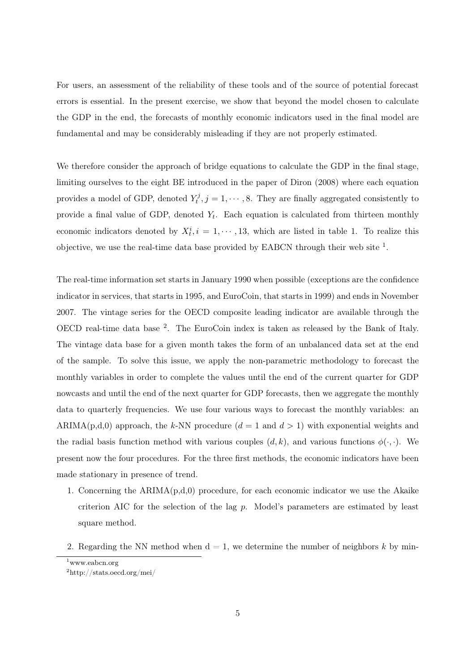For users, an assessment of the reliability of these tools and of the source of potential forecast errors is essential. In the present exercise, we show that beyond the model chosen to calculate the GDP in the end, the forecasts of monthly economic indicators used in the final model are fundamental and may be considerably misleading if they are not properly estimated.

We therefore consider the approach of bridge equations to calculate the GDP in the final stage, limiting ourselves to the eight BE introduced in the paper of Diron (2008) where each equation provides a model of GDP, denoted  $Y_t^j$  $t_i^j$ ,  $j = 1, \dots, 8$ . They are finally aggregated consistently to provide a final value of GDP, denoted  $Y_t$ . Each equation is calculated from thirteen monthly economic indicators denoted by  $X_t^i$ ,  $i = 1, \dots, 13$ , which are listed in table 1. To realize this objective, we use the real-time data base provided by EABCN through their web site  $<sup>1</sup>$ .</sup>

The real-time information set starts in January 1990 when possible (exceptions are the confidence indicator in services, that starts in 1995, and EuroCoin, that starts in 1999) and ends in November 2007. The vintage series for the OECD composite leading indicator are available through the OECD real-time data base <sup>2</sup> . The EuroCoin index is taken as released by the Bank of Italy. The vintage data base for a given month takes the form of an unbalanced data set at the end of the sample. To solve this issue, we apply the non-parametric methodology to forecast the monthly variables in order to complete the values until the end of the current quarter for GDP nowcasts and until the end of the next quarter for GDP forecasts, then we aggregate the monthly data to quarterly frequencies. We use four various ways to forecast the monthly variables: an ARIMA(p,d,0) approach, the k-NN procedure  $(d = 1 \text{ and } d > 1)$  with exponential weights and the radial basis function method with various couples  $(d, k)$ , and various functions  $\phi(\cdot, \cdot)$ . We present now the four procedures. For the three first methods, the economic indicators have been made stationary in presence of trend.

- 1. Concerning the  $ARIMA(p,d,0)$  procedure, for each economic indicator we use the Akaike criterion AIC for the selection of the lag p. Model's parameters are estimated by least square method.
- 2. Regarding the NN method when  $d = 1$ , we determine the number of neighbors k by min-

 $1$ www.eabcn.org

<sup>2</sup>http://stats.oecd.org/mei/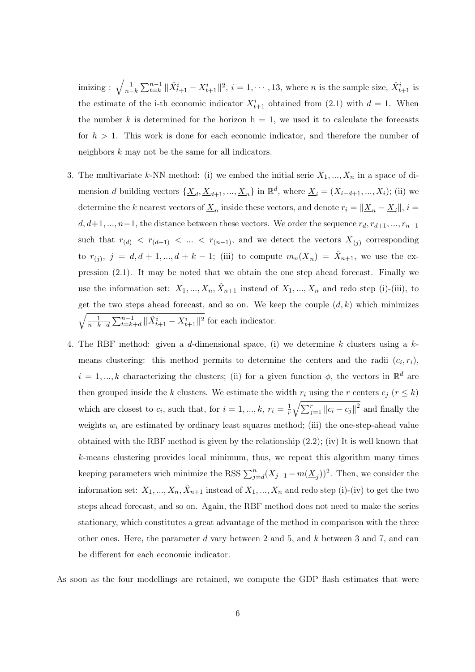$\text{imizing}: \sqrt{\frac{1}{n-k}\sum_{t=k}^{n-1}||\hat{X}_{t+1}^i - X_{t+1}^i||^2}, i = 1, \cdots, 13, \text{ where } n \text{ is the sample size}, \hat{X}_{t+1}^i \text{ is }$ the estimate of the i-th economic indicator  $X_{t+1}^i$  obtained from (2.1) with  $d = 1$ . When the number k is determined for the horizon  $h = 1$ , we used it to calculate the forecasts for  $h > 1$ . This work is done for each economic indicator, and therefore the number of neighbors  $k$  may not be the same for all indicators.

- 3. The multivariate k-NN method: (i) we embed the initial serie  $X_1, ..., X_n$  in a space of dimension d building vectors  $\{\underline{X}_d, \underline{X}_{d+1}, ..., \underline{X}_n\}$  in  $\mathbb{R}^d$ , where  $\underline{X}_i = (X_{i-d+1}, ..., X_i)$ ; (ii) we determine the k nearest vectors of  $\underline{X}_n$  inside these vectors, and denote  $r_i = ||\underline{X}_n - \underline{X}_i||$ ,  $i =$  $d, d+1, \ldots, n-1$ , the distance between these vectors. We order the sequence  $r_d, r_{d+1}, \ldots, r_{n-1}$ such that  $r_{(d)} < r_{(d+1)} < ... < r_{(n-1)}$ , and we detect the vectors  $\underline{X}_{(j)}$  corresponding to  $r_{(j)}$ ,  $j = d, d + 1, ..., d + k - 1$ ; (iii) to compute  $m_n(\underline{X}_n) = \hat{X}_{n+1}$ , we use the expression (2.1). It may be noted that we obtain the one step ahead forecast. Finally we use the information set:  $X_1, ..., X_n, \hat{X}_{n+1}$  instead of  $X_1, ..., X_n$  and redo step (i)-(iii), to get the two steps ahead forecast, and so on. We keep the couple  $(d, k)$  which minimizes  $\sqrt{\frac{1}{n-k-d}\sum_{t=k+d}^{n-1}||\hat{X}_{t+1}^i - X_{t+1}^i||^2}$  for each indicator.
- 4. The RBF method: given a d-dimensional space, (i) we determine k clusters using a  $k$ means clustering: this method permits to determine the centers and the radii  $(c_i, r_i)$ ,  $i = 1, ..., k$  characterizing the clusters; (ii) for a given function  $\phi$ , the vectors in  $\mathbb{R}^d$  are then grouped inside the k clusters. We estimate the width  $r_i$  using the r centers  $c_j$  ( $r \leq k$ ) which are closest to  $c_i$ , such that, for  $i = 1, ..., k, r_i = \frac{1}{r}$  $\frac{1}{r}\sqrt{\sum_{j=1}^{r}||c_i-c_j||^2}$  and finally the weights  $w_i$  are estimated by ordinary least squares method; (iii) the one-step-ahead value obtained with the RBF method is given by the relationship (2.2); (iv) It is well known that k-means clustering provides local minimum, thus, we repeat this algorithm many times keeping parameters wich minimize the RSS  $\sum_{j=d}^{n} (X_{j+1} - m(\underline{X}_j))^2$ . Then, we consider the information set:  $X_1, ..., X_n, \hat{X}_{n+1}$  instead of  $X_1, ..., X_n$  and redo step (i)-(iv) to get the two steps ahead forecast, and so on. Again, the RBF method does not need to make the series stationary, which constitutes a great advantage of the method in comparison with the three other ones. Here, the parameter d vary between 2 and 5, and  $k$  between 3 and 7, and can be different for each economic indicator.

As soon as the four modellings are retained, we compute the GDP flash estimates that were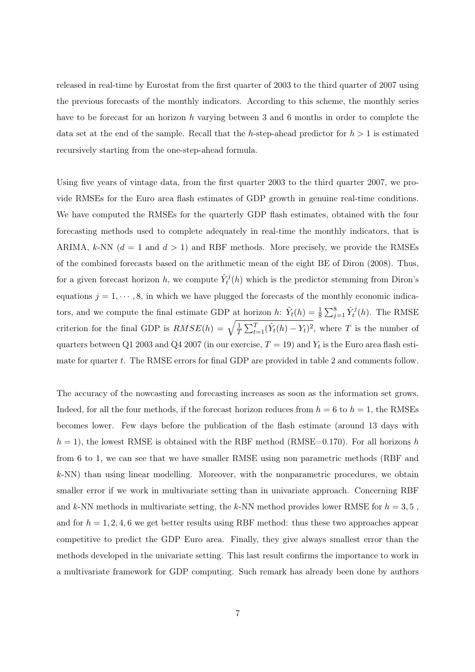released in real-time by Eurostat from the first quarter of 2003 to the third quarter of 2007 using the previous forecasts of the monthly indicators. According to this scheme, the monthly series have to be forecast for an horizon h varying between 3 and 6 months in order to complete the data set at the end of the sample. Recall that the h-step-ahead predictor for  $h > 1$  is estimated recursively starting from the one-step-ahead formula.

Using five years of vintage data, from the first quarter 2003 to the third quarter 2007, we provide RMSEs for the Euro area flash estimates of GDP growth in genuine real-time conditions. We have computed the RMSEs for the quarterly GDP flash estimates, obtained with the four forecasting methods used to complete adequately in real-time the monthly indicators, that is ARIMA, k-NN  $(d = 1 \text{ and } d > 1)$  and RBF methods. More precisely, we provide the RMSEs of the combined forecasts based on the arithmetic mean of the eight BE of Diron (2008). Thus, for a given forecast horizon h, we compute  $\hat{Y}_t^j(h)$  which is the predictor stemming from Diron's equations  $j = 1, \dots, 8$ , in which we have plugged the forecasts of the monthly economic indicators, and we compute the final estimate GDP at horizon h:  $\hat{Y}_t(h) = \frac{1}{8} \sum_{j=1}^8 \hat{Y}_t^j(h)$ . The RMSE criterion for the final GDP is  $RMSE(h) = \sqrt{\frac{1}{7}}$  $\frac{1}{T} \sum_{t=1}^{T} (\hat{Y}_t(h) - Y_t)^2$ , where T is the number of quarters between Q1 2003 and Q4 2007 (in our exercise,  $T = 19$ ) and  $Y_t$  is the Euro area flash estimate for quarter t. The RMSE errors for final GDP are provided in table 2 and comments follow.

The accuracy of the nowcasting and forecasting increases as soon as the information set grows. Indeed, for all the four methods, if the forecast horizon reduces from  $h = 6$  to  $h = 1$ , the RMSEs becomes lower. Few days before the publication of the flash estimate (around 13 days with  $h = 1$ , the lowest RMSE is obtained with the RBF method (RMSE=0.170). For all horizons h from 6 to 1, we can see that we have smaller RMSE using non parametric methods (RBF and  $k$ -NN) than using linear modelling. Moreover, with the nonparametric procedures, we obtain smaller error if we work in multivariate setting than in univariate approach. Concerning RBF and k-NN methods in multivariate setting, the k-NN method provides lower RMSE for  $h = 3, 5$ , and for  $h = 1, 2, 4, 6$  we get better results using RBF method: thus these two approaches appear competitive to predict the GDP Euro area. Finally, they give always smallest error than the methods developed in the univariate setting. This last result confirms the importance to work in a multivariate framework for GDP computing. Such remark has already been done by authors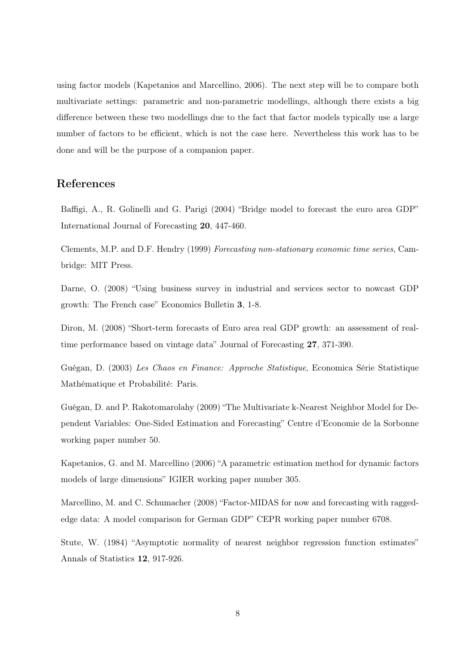using factor models (Kapetanios and Marcellino, 2006). The next step will be to compare both multivariate settings: parametric and non-parametric modellings, although there exists a big difference between these two modellings due to the fact that factor models typically use a large number of factors to be efficient, which is not the case here. Nevertheless this work has to be done and will be the purpose of a companion paper.

### References

Baffigi, A., R. Golinelli and G. Parigi (2004) "Bridge model to forecast the euro area GDP" International Journal of Forecasting 20, 447-460.

Clements, M.P. and D.F. Hendry (1999) Forecasting non-stationary economic time series, Cambridge: MIT Press.

Darne, O. (2008) "Using business survey in industrial and services sector to nowcast GDP growth: The French case" Economics Bulletin 3, 1-8.

Diron, M. (2008) "Short-term forecasts of Euro area real GDP growth: an assessment of realtime performance based on vintage data" Journal of Forecasting 27, 371-390.

Guégan, D. (2003) Les Chaos en Finance: Approche Statistique, Economica Série Statistique Mathématique et Probabilité: Paris.

Guégan, D. and P. Rakotomarolahy (2009) "The Multivariate k-Nearest Neighbor Model for Dependent Variables: One-Sided Estimation and Forecasting" Centre d'Economie de la Sorbonne working paper number 50.

Kapetanios, G. and M. Marcellino (2006) "A parametric estimation method for dynamic factors models of large dimensions" IGIER working paper number 305.

Marcellino, M. and C. Schumacher (2008) "Factor-MIDAS for now and forecasting with raggededge data: A model comparison for German GDP" CEPR working paper number 6708.

Stute, W. (1984) "Asymptotic normality of nearest neighbor regression function estimates" Annals of Statistics 12, 917-926.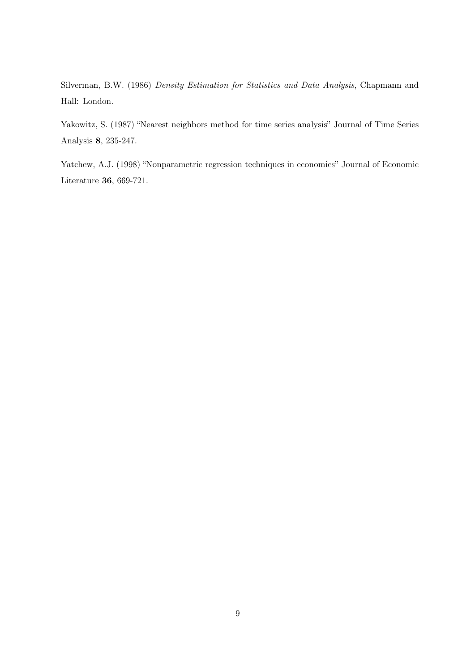Silverman, B.W. (1986) Density Estimation for Statistics and Data Analysis, Chapmann and Hall: London.

Yakowitz, S. (1987) "Nearest neighbors method for time series analysis" Journal of Time Series Analysis 8, 235-247.

Yatchew, A.J. (1998) "Nonparametric regression techniques in economics" Journal of Economic Literature 36, 669-721.